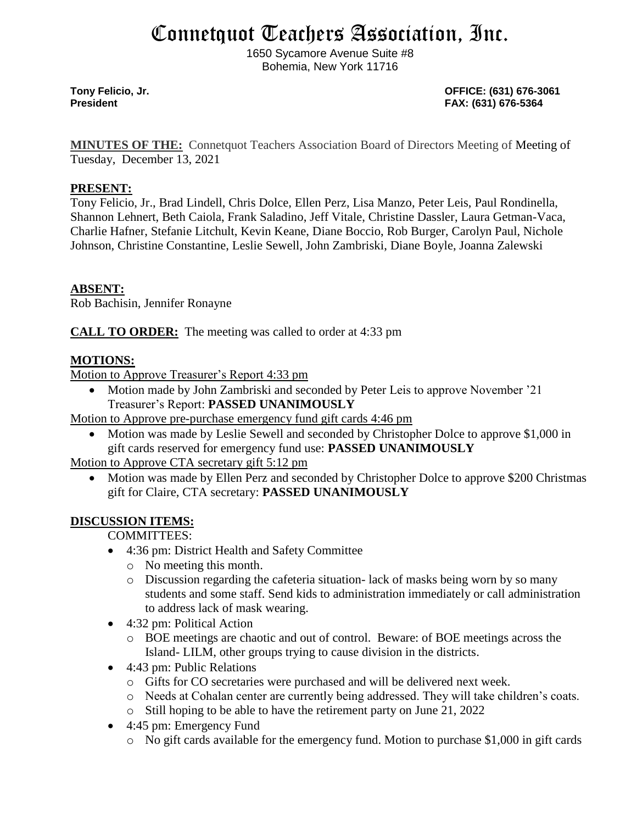# Connetquot Teachers Association, Inc.

1650 Sycamore Avenue Suite #8 Bohemia, New York 11716

**Tony Felicio, Jr. OFFICE: (631) 676-3061 President FAX: (631) 676-5364**

**MINUTES OF THE:** Connetquot Teachers Association Board of Directors Meeting of Meeting of Tuesday, December 13, 2021

#### **PRESENT:**

Tony Felicio, Jr., Brad Lindell, Chris Dolce, Ellen Perz, Lisa Manzo, Peter Leis, Paul Rondinella, Shannon Lehnert, Beth Caiola, Frank Saladino, Jeff Vitale, Christine Dassler, Laura Getman-Vaca, Charlie Hafner, Stefanie Litchult, Kevin Keane, Diane Boccio, Rob Burger, Carolyn Paul, Nichole Johnson, Christine Constantine, Leslie Sewell, John Zambriski, Diane Boyle, Joanna Zalewski

# **ABSENT:**

Rob Bachisin, Jennifer Ronayne

**CALL TO ORDER:** The meeting was called to order at 4:33 pm

# **MOTIONS:**

Motion to Approve Treasurer's Report 4:33 pm

• Motion made by John Zambriski and seconded by Peter Leis to approve November '21 Treasurer's Report: **PASSED UNANIMOUSLY**

Motion to Approve pre-purchase emergency fund gift cards 4:46 pm

• Motion was made by Leslie Sewell and seconded by Christopher Dolce to approve \$1,000 in gift cards reserved for emergency fund use: **PASSED UNANIMOUSLY**

# Motion to Approve CTA secretary gift 5:12 pm

• Motion was made by Ellen Perz and seconded by Christopher Dolce to approve \$200 Christmas gift for Claire, CTA secretary: **PASSED UNANIMOUSLY**

# **DISCUSSION ITEMS:**

COMMITTEES:

- 4:36 pm: District Health and Safety Committee
	- o No meeting this month.
	- o Discussion regarding the cafeteria situation- lack of masks being worn by so many students and some staff. Send kids to administration immediately or call administration to address lack of mask wearing.
- 4:32 pm: Political Action
	- o BOE meetings are chaotic and out of control. Beware: of BOE meetings across the Island- LILM, other groups trying to cause division in the districts.
- 4:43 pm: Public Relations
	- o Gifts for CO secretaries were purchased and will be delivered next week.
	- o Needs at Cohalan center are currently being addressed. They will take children's coats.
	- o Still hoping to be able to have the retirement party on June 21, 2022
- 4:45 pm: Emergency Fund
	- o No gift cards available for the emergency fund. Motion to purchase \$1,000 in gift cards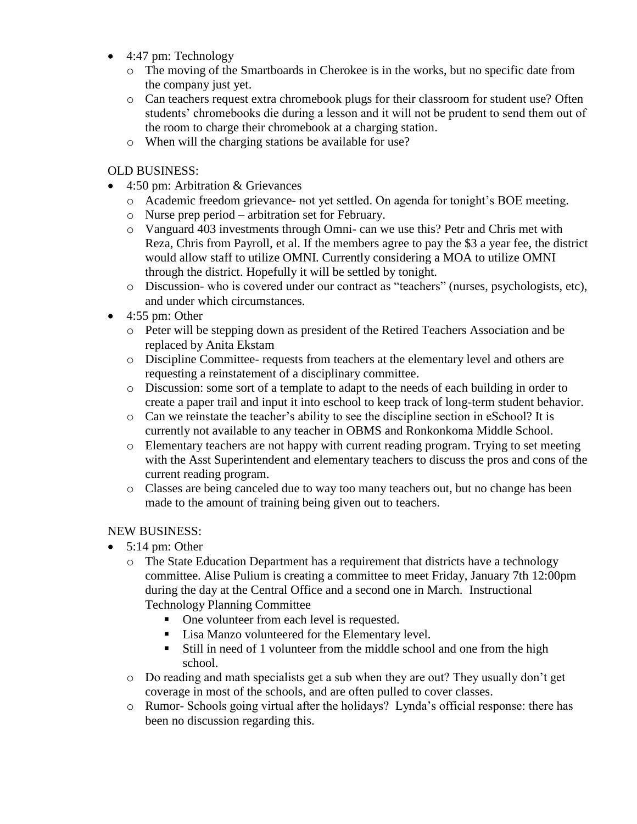- 4:47 pm: Technology
	- o The moving of the Smartboards in Cherokee is in the works, but no specific date from the company just yet.
	- o Can teachers request extra chromebook plugs for their classroom for student use? Often students' chromebooks die during a lesson and it will not be prudent to send them out of the room to charge their chromebook at a charging station.
	- o When will the charging stations be available for use?

#### OLD BUSINESS:

- 4:50 pm: Arbitration & Grievances
	- o Academic freedom grievance- not yet settled. On agenda for tonight's BOE meeting.
	- o Nurse prep period arbitration set for February.
	- o Vanguard 403 investments through Omni- can we use this? Petr and Chris met with Reza, Chris from Payroll, et al. If the members agree to pay the \$3 a year fee, the district would allow staff to utilize OMNI. Currently considering a MOA to utilize OMNI through the district. Hopefully it will be settled by tonight.
	- o Discussion- who is covered under our contract as "teachers" (nurses, psychologists, etc), and under which circumstances.
- $\bullet$  4:55 pm: Other
	- o Peter will be stepping down as president of the Retired Teachers Association and be replaced by Anita Ekstam
	- o Discipline Committee- requests from teachers at the elementary level and others are requesting a reinstatement of a disciplinary committee.
	- o Discussion: some sort of a template to adapt to the needs of each building in order to create a paper trail and input it into eschool to keep track of long-term student behavior.
	- o Can we reinstate the teacher's ability to see the discipline section in eSchool? It is currently not available to any teacher in OBMS and Ronkonkoma Middle School.
	- o Elementary teachers are not happy with current reading program. Trying to set meeting with the Asst Superintendent and elementary teachers to discuss the pros and cons of the current reading program.
	- o Classes are being canceled due to way too many teachers out, but no change has been made to the amount of training being given out to teachers.

#### NEW BUSINESS:

- $\bullet$  5:14 pm: Other
	- o The State Education Department has a requirement that districts have a technology committee. Alise Pulium is creating a committee to meet Friday, January 7th 12:00pm during the day at the Central Office and a second one in March. Instructional Technology Planning Committee
		- One volunteer from each level is requested.
		- Lisa Manzo volunteered for the Elementary level.
		- Still in need of 1 volunteer from the middle school and one from the high school.
	- $\circ$  Do reading and math specialists get a sub when they are out? They usually don't get coverage in most of the schools, and are often pulled to cover classes.
	- o Rumor- Schools going virtual after the holidays? Lynda's official response: there has been no discussion regarding this.